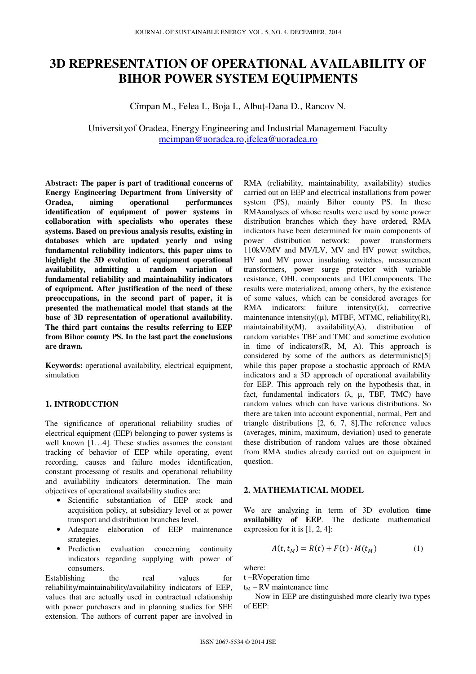# **3D REPRESENTATION OF OPERATIONAL AVAILABILITY OF BIHOR POWER SYSTEM EQUIPMENTS**

Cîmpan M., Felea I., Boja I., Albuţ-Dana D., Rancov N.

# Universityof Oradea, Energy Engineering and Industrial Management Faculty mcimpan@uoradea.ro,ifelea@uoradea.ro

**Abstract: The paper is part of traditional concerns of Energy Engineering Department from University of Oradea, aiming operational performances identification of equipment of power systems in collaboration with specialists who operates these systems. Based on previous analysis results, existing in databases which are updated yearly and using fundamental reliability indicators, this paper aims to highlight the 3D evolution of equipment operational availability, admitting a random variation of fundamental reliability and maintainability indicators of equipment. After justification of the need of these preoccupations, in the second part of paper, it is presented the mathematical model that stands at the base of 3D representation of operational availability. The third part contains the results referring to EEP from Bihor county PS. In the last part the conclusions are drawn.** 

**Keywords:** operational availability, electrical equipment, simulation

#### **1. INTRODUCTION**

The significance of operational reliability studies of electrical equipment (EEP) belonging to power systems is well known [1…4]. These studies assumes the constant tracking of behavior of EEP while operating, event recording, causes and failure modes identification, constant processing of results and operational reliability and availability indicators determination. The main objectives of operational availability studies are:

- Scientific substantiation of EEP stock and acquisition policy, at subsidiary level or at power transport and distribution branches level.
- Adequate elaboration of EEP maintenance strategies.
- Prediction evaluation concerning continuity indicators regarding supplying with power of consumers.

Establishing the real values for reliability/maintainability/availability indicators of EEP, values that are actually used in contractual relationship with power purchasers and in planning studies for SEE extension. The authors of current paper are involved in

RMA (reliability, maintainability, availability) studies carried out on EEP and electrical installations from power system (PS), mainly Bihor county PS. In these RMAanalyses of whose results were used by some power distribution branches which they have ordered, RMA indicators have been determined for main components of power distribution network: power transformers 110kV/MV and MV/LV, MV and HV power switches, HV and MV power insulating switches, measurement transformers, power surge protector with variable resistance, OHL components and UELcomponents. The results were materialized, among others, by the existence of some values, which can be considered averages for RMA indicators: failure intensity $((\lambda))$ , corrective maintenance intensity $((\mu)$ , MTBF, MTMC, reliability $(R)$ , maintainability(M), availability(A), distribution of random variables TBF and TMC and sometime evolution in time of indicators(R, M, A). This approach is considered by some of the authors as deterministic[5] while this paper propose a stochastic approach of RMA indicators and a 3D approach of operational availability for EEP. This approach rely on the hypothesis that, in fact, fundamental indicators  $(\lambda, \mu, TBF, TMC)$  have random values which can have various distributions. So there are taken into account exponential, normal, Pert and triangle distributions [2, 6, 7, 8].The reference values (averages, minim, maximum, deviation) used to generate these distribution of random values are those obtained from RMA studies already carried out on equipment in question.

#### **2. MATHEMATICAL MODEL**

We are analyzing in term of 3D evolution **time availability of EEP**. The dedicate mathematical expression for it is [1, 2, 4]:

$$
A(t, t_M) = R(t) + F(t) \cdot M(t_M)
$$
 (1)

where:

t –RVoperation time

 $t_M$  – RV maintenance time

Now in EEP are distinguished more clearly two types of EEP: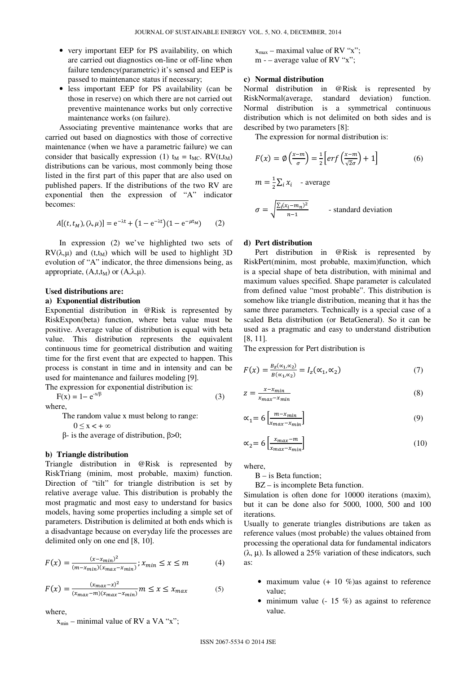- very important EEP for PS availability, on which are carried out diagnostics on-line or off-line when failure tendency(parametric) it's sensed and EEP is passed to maintenance status if necessary;
- less important EEP for PS availability (can be those in reserve) on which there are not carried out preventive maintenance works but only corrective maintenance works (on failure).

Associating preventive maintenance works that are carried out based on diagnostics with those of corrective maintenance (when we have a parametric failure) we can consider that basically expression (1)  $t_M = t_{MC}$ . RV( $t, t_M$ ) distributions can be various, most commonly being those listed in the first part of this paper that are also used on published papers. If the distributions of the two RV are exponential then the expression of "A" indicator becomes:

$$
A[(t, t_M), (\lambda, \mu)] = e^{-\lambda t} + (1 - e^{-\lambda t})(1 - e^{-\mu t_M}) \qquad (2)
$$

In expression (2) we've highlighted two sets of RV( $\lambda, \mu$ ) and (t,t<sub>M</sub>) which will be used to highlight 3D evolution of "A" indicator, the three dimensions being, as appropriate,  $(A, t, t_M)$  or  $(A, \lambda, \mu)$ .

#### **Used distributions are:**

#### **a) Exponential distribution**

Exponential distribution in @Risk is represented by RiskExpon(beta) function, where beta value must be positive. Average value of distribution is equal with beta value. This distribution represents the equivalent continuous time for geometrical distribution and waiting time for the first event that are expected to happen. This process is constant in time and in intensity and can be used for maintenance and failures modeling [9].

The expression for exponential distribution is:  $F(x) = 1 - e^{-x/\beta}$ (3)

where,

The random value x must belong to range:

 $0 \leq x \leq +\infty$ 

 $β$ - is the average of distribution,  $β > 0$ ;

#### **b) Triangle distribution**

Triangle distribution in @Risk is represented by RiskTriang (minim, most probable, maxim) function. Direction of "tilt" for triangle distribution is set by relative average value. This distribution is probably the most pragmatic and most easy to understand for basics models, having some properties including a simple set of parameters. Distribution is delimited at both ends which is a disadvantage because on everyday life the processes are delimited only on one end [8, 10].

$$
F(x) = \frac{(x - x_{min})^2}{(m - x_{min})(x_{max} - x_{min})}; x_{min} \le x \le m
$$
 (4)

$$
F(x) = \frac{(x_{max} - x)^2}{(x_{max} - m)(x_{max} - x_{min})} m \le x \le x_{max}
$$
 (5)

where,

 $x_{min}$  – minimal value of RV a VA "x";

 $x_{max}$  – maximal value of RV "x";  $m -$  average value of RV "x":

## **c) Normal distribution**

Normal distribution in @Risk is represented by RiskNormal(average, standard deviation) function. Normal distribution is a symmetrical continuous distribution which is not delimited on both sides and is described by two parameters [8]:

The expression for normal distribution is:

$$
F(x) = \emptyset \left(\frac{x-m}{\sigma}\right) = \frac{1}{2} \left[ erf\left(\frac{x-m}{\sqrt{2}\sigma}\right) + 1 \right]
$$
(6)  

$$
m = \frac{1}{2} \sum_{i} x_{i} - \text{average}
$$
  

$$
\sigma = \sqrt{\frac{\sum_{i} (x_{i}-m_{n})^{2}}{n-1}} - \text{standard deviation}
$$

## **d) Pert distribution**

Pert distribution in @Risk is represented by RiskPert(minim, most probable, maxim)function, which is a special shape of beta distribution, with minimal and maximum values specified. Shape parameter is calculated from defined value "most probable". This distribution is somehow like triangle distribution, meaning that it has the same three parameters. Technically is a special case of a scaled Beta distribution (or BetaGeneral). So it can be used as a pragmatic and easy to understand distribution [8, 11].

The expression for Pert distribution is

$$
F(x) = \frac{B_z(\alpha_1, \alpha_2)}{B(\alpha_1, \alpha_2)} = I_z(\alpha_1, \alpha_2)
$$
\n<sup>(7)</sup>

$$
z = \frac{x - x_{min}}{x_{max} - x_{min}}\tag{8}
$$

$$
\alpha_1 = 6 \left[ \frac{m - x_{min}}{x_{max} - x_{min}} \right] \tag{9}
$$

$$
\alpha_2 = 6 \left[ \frac{x_{max} - m}{x_{max} - x_{min}} \right] \tag{10}
$$

where,

 $B - iS$  Beta function;

BZ – is incomplete Beta function.

Simulation is often done for 10000 iterations (maxim), but it can be done also for 5000, 1000, 500 and 100 iterations.

Usually to generate triangles distributions are taken as reference values (most probable) the values obtained from processing the operational data for fundamental indicators (λ, µ). Is allowed a 25% variation of these indicators, such as:

- maximum value  $(+ 10\% )$ as against to reference value;
- minimum value  $(-15 \%)$  as against to reference value.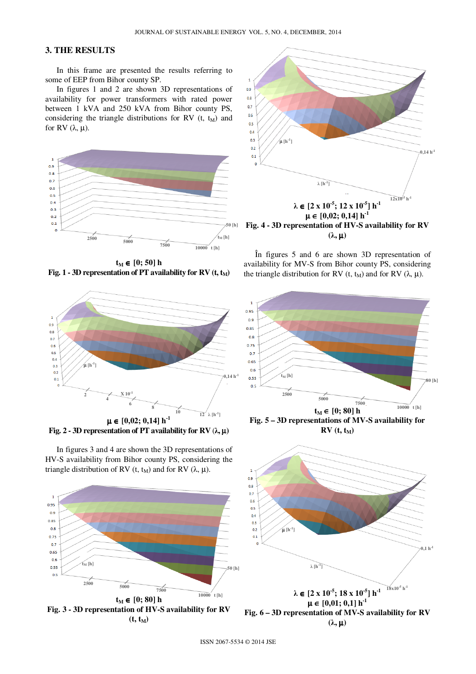## **3. THE RESULTS**

In this frame are presented the results referring to some of EEP from Bihor county SP.

In figures 1 and 2 are shown 3D representations of availability for power transformers with rated power between 1 kVA and 250 kVA from Bihor county PS, considering the triangle distributions for RV  $(t, t_M)$  and for RV  $(λ, μ)$ .



**t**<sub>M</sub> ∈ [0; 50] h **Fig. 1 - 3D representation of PT availability for RV**  $(t, t_M)$ 



**Fig. 2 - 3D representation of PT availability for RV**  $(\lambda, \mu)$ 

In figures 3 and 4 are shown the 3D representations of HV-S availability from Bihor county PS, considering the triangle distribution of RV (t, t<sub>M</sub>) and for RV (λ, μ).





 $(λ, μ)$ 

În figures 5 and 6 are shown 3D representation of availability for MV-S from Bihor county PS, considering the triangle distribution for RV (t, t<sub>M</sub>) and for RV ( $\lambda$ ,  $\mu$ ).



 $RV(t, t_M)$